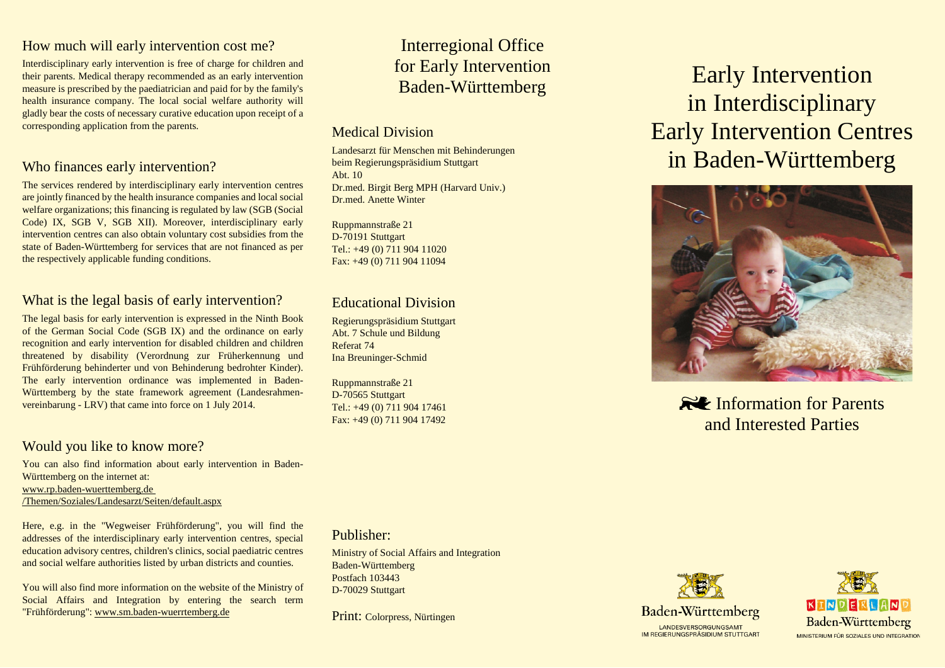# How much will early intervention cost me?

Interdisciplinary early intervention is free of charge for children and their parents. Medical therapy recommended as an early intervention measure is prescribed by the paediatrician and paid for by the family's health insurance company. The local social welfare authority will gladly bear the costs of necessary curative education upon receipt of a corresponding application from the parents.

# Who finances early intervention?

The services rendered by interdisciplinary early intervention centres are jointly financed by the health insurance companies and local social welfare organizations; this financing is regulated by law (SGB (Social Code) IX, SGB V, SGB XII). Moreover, interdisciplinary early intervention centres can also obtain voluntary cost subsidies from the state of Baden-Württemberg for services that are not financed as per the respectively applicable funding conditions.

# What is the legal basis of early intervention?

The legal basis for early intervention is expressed in the Ninth Book of the German Social Code (SGB IX) and the ordinance on early recognition and early intervention for disabled children and children threatened by disability (Verordnung zur Früherkennung und Frühförderung behinderter und von Behinderung bedrohter Kinder). The early intervention ordinance was implemented in Baden-Württemberg by the state framework agreement (Landesrahmenvereinbarung - LRV) that came into force on 1 July 2014.

#### Would you like to know more?

You can also find information about early intervention in Baden-Württemberg on the internet at: [www.rp.baden-wuerttemberg.de](http://www.rp.baden-wuerttemberg.de/Themen/Soziales/Landesarzt/Seiten/default.aspx)  [/Themen/Soziales/Landesarzt/Seiten/default.aspx](http://www.rp.baden-wuerttemberg.de/Themen/Soziales/Landesarzt/Seiten/default.aspx)

Here, e.g. in the "Wegweiser Frühförderung", you will find the addresses of the interdisciplinary early intervention centres, special education advisory centres, children's clinics, social paediatric centres and social welfare authorities listed by urban districts and counties.

You will also find more information on the website of the Ministry of Social Affairs and Integration by entering the search term "Frühförderung": [www.sm.baden-wuerrtemberg.de](http://www.sm.baden-wuerrtemberg.de/)

# Interregional Office for Early Intervention Baden-Württemberg

# Medical Division

Landesarzt für Menschen mit Behinderungen beim Regierungspräsidium Stuttgart Abt. 10 Dr.med. Birgit Berg MPH (Harvard Univ.) Dr.med. Anette Winter

Ruppmannstraße 21 D-70191 Stuttgart Tel.: +49 (0) 711 904 11020 Fax: +49 (0) 711 904 11094

# Educational Division

Regierungspräsidium Stuttgart Abt. 7 Schule und Bildung Referat 74 Ina Breuninger-Schmid

Ruppmannstraße 21 D-70565 Stuttgart Tel.: +49 (0) 711 904 17461 Fax: +49 (0) 711 904 17492

Publisher:

Ministry of Social Affairs and Integration Baden-Württemberg Postfach 103443 D-70029 Stuttgart

Print: Colorpress, Nürtingen

# Early Intervention in Interdisciplinary Early Intervention Centres in Baden-Württemberg



**RUP** Information for Parents and Interested Parties